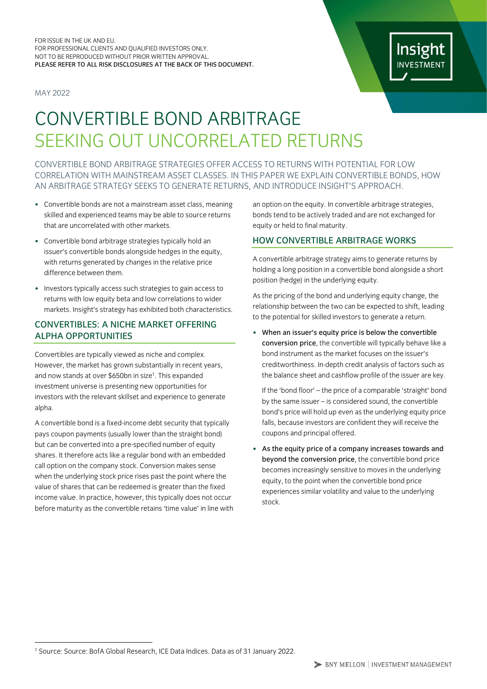#### FOR ISSUE IN THE UK AND EU. FOR PROFESSIONAL CLIENTS AND QUALIFIED INVESTORS ONLY. NOT TO BE REPRODUCED WITHOUT PRIOR WRITTEN APPROVAL. PLEASE REFER TO ALL RISK DISCLOSURES AT THE BACK OF THIS DOCUMENT.

MAY 2022

# Insight **INVESTMENT**

# CONVERTIBLE BOND ARBITRAGE SEEKING OUT UNCORRELATED RETURNS

CONVERTIBLE BOND ARBITRAGE STRATEGIES OFFER ACCESS TO RETURNS WITH POTENTIAL FOR LOW CORRELATION WITH MAINSTREAM ASSET CLASSES. IN THIS PAPER WE EXPLAIN CONVERTIBLE BONDS, HOW AN ARBITRAGE STRATEGY SEEKS TO GENERATE RETURNS, AND INTRODUCE INSIGHT'S APPROACH.

- Convertible bonds are not a mainstream asset class, meaning skilled and experienced teams may be able to source returns that are uncorrelated with other markets.
- Convertible bond arbitrage strategies typically hold an issuer's convertible bonds alongside hedges in the equity, with returns generated by changes in the relative price difference between them.
- Investors typically access such strategies to gain access to returns with low equity beta and low correlations to wider markets. Insight's strategy has exhibited both characteristics.

# CONVERTIBLES: A NICHE MARKET OFFERING ALPHA OPPORTUNITIES

Convertibles are typically viewed as niche and complex. However, the market has grown substantially in recent years, and now stands at over \$650bn in size<sup>1</sup>. This expanded investment universe is presenting new opportunities for investors with the relevant skillset and experience to generate alpha.

A convertible bond is a fixed-income debt security that typically pays coupon payments (usually lower than the straight bond) but can be converted into a pre-specified number of equity shares. It therefore acts like a regular bond with an embedded call option on the company stock. Conversion makes sense when the underlying stock price rises past the point where the value of shares that can be redeemed is greater than the fixed income value. In practice, however, this typically does not occur before maturity as the convertible retains 'time value' in line with

an option on the equity. In convertible arbitrage strategies, bonds tend to be actively traded and are not exchanged for equity or held to final maturity.

# HOW CONVERTIBLE ARBITRAGE WORKS

A convertible arbitrage strategy aims to generate returns by holding a long position in a convertible bond alongside a short position (hedge) in the underlying equity.

As the pricing of the bond and underlying equity change, the relationship between the two can be expected to shift, leading to the potential for skilled investors to generate a return.

• When an issuer's equity price is below the convertible conversion price, the convertible will typically behave like a bond instrument as the market focuses on the issuer's creditworthiness. In-depth credit analysis of factors such as the balance sheet and cashflow profile of the issuer are key.

If the 'bond floor' – the price of a comparable 'straight' bond by the same issuer – is considered sound, the convertible bond's price will hold up even as the underlying equity price falls, because investors are confident they will receive the coupons and principal offered.

As the equity price of a company increases towards and beyond the conversion price, the convertible bond price becomes increasingly sensitive to moves in the underlying equity, to the point when the convertible bond price experiences similar volatility and value to the underlying stock.

<sup>1</sup> Source: Source: BofA Global Research, ICE Data Indices. Data as of 31 January 2022.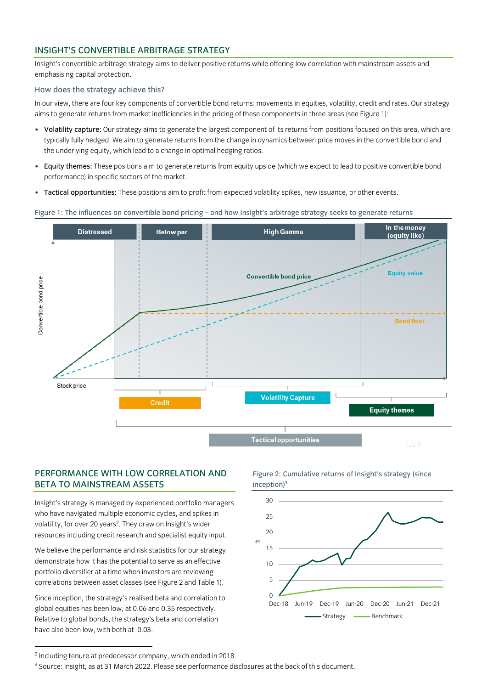# INSIGHT'S CONVERTIBLE ARBITRAGE STRATEGY

Insight's convertible arbitrage strategy aims to deliver positive returns while offering low correlation with mainstream assets and emphasising capital protection.

## How does the strategy achieve this?

In our view, there are four key components of convertible bond returns: movements in equities, volatility, credit and rates. Our strategy aims to generate returns from market inefficiencies in the pricing of these components in three areas (see Figure 1):

- Volatility capture: Our strategy aims to generate the largest component of its returns from positions focused on this area, which are typically fully hedged. We aim to generate returns from the change in dynamics between price moves in the convertible bond and the underlying equity, which lead to a change in optimal hedging ratios.
- Equity themes: These positions aim to generate returns from equity upside (which we expect to lead to positive convertible bond performance) in specific sectors of the market.
- Tactical opportunities: These positions aim to profit from expected volatility spikes, new issuance, or other events.

### Figure 1: The influences on convertible bond pricing – and how Insight's arbitrage strategy seeks to generate returns



# PERFORMANCE WITH LOW CORRELATION AND BETA TO MAINSTREAM ASSETS

Insight's strategy is managed by experienced portfolio managers who have navigated multiple economic cycles, and spikes in volatility, for over 20 years<sup>2</sup>. They draw on Insight's wider resources including credit research and specialist equity input.

We believe the performance and risk statistics for our strategy demonstrate how it has the potential to serve as an effective portfolio diversifier at a time when investors are reviewing correlations between asset classes (see Figure 2 and Table 1).

Since inception, the strategy's realised beta and correlation to global equities has been low, at 0.06 and 0.35 respectively. Relative to global bonds, the strategy's beta and correlation have also been low, with both at -0.03.

Figure 2: Cumulative returns of Insight's strategy (since  $inception)<sup>3</sup>$ 



<sup>2</sup> Including tenure at predecessor company, which ended in 2018.

<sup>3</sup> Source: Insight, as at 31 March 2022. Please see performance disclosures at the back of this document.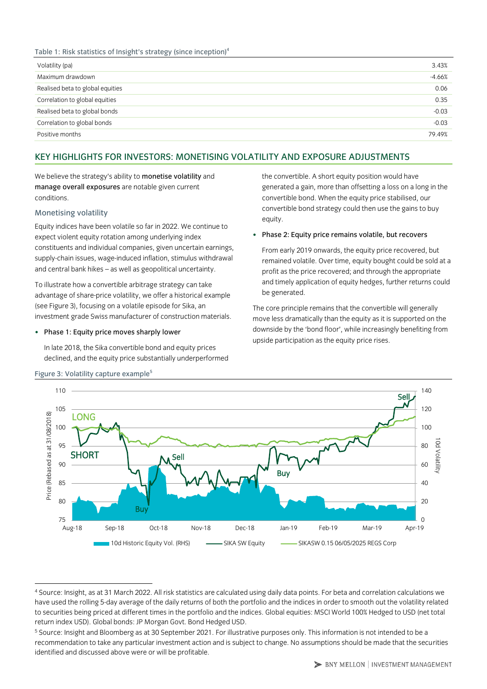## Table 1: Risk statistics of Insight's strategy (since inception)<sup>4</sup>

| Volatility (pa)                  | 3.43%    |
|----------------------------------|----------|
| Maximum drawdown                 | $-4.66%$ |
| Realised beta to global equities | 0.06     |
| Correlation to global equities   | 0.35     |
| Realised beta to global bonds    | $-0.03$  |
| Correlation to global bonds      | $-0.03$  |
| Positive months                  | 79.49%   |
|                                  |          |

# KEY HIGHLIGHTS FOR INVESTORS: MONETISING VOLATILITY AND EXPOSURE ADJUSTMENTS

We believe the strategy's ability to monetise volatility and manage overall exposures are notable given current conditions.

## Monetising volatility

Equity indices have been volatile so far in 2022. We continue to expect violent equity rotation among underlying index constituents and individual companies, given uncertain earnings, supply-chain issues, wage-induced inflation, stimulus withdrawal and central bank hikes – as well as geopolitical uncertainty.

To illustrate how a convertible arbitrage strategy can take advantage of share-price volatility, we offer a historical example (see Figure 3), focusing on a volatile episode for Sika, an investment grade Swiss manufacturer of construction materials.

• Phase 1: Equity price moves sharply lower

In late 2018, the Sika convertible bond and equity prices declined, and the equity price substantially underperformed the convertible. A short equity position would have generated a gain, more than offsetting a loss on a long in the convertible bond. When the equity price stabilised, our convertible bond strategy could then use the gains to buy equity.

## • Phase 2: Equity price remains volatile, but recovers

From early 2019 onwards, the equity price recovered, but remained volatile. Over time, equity bought could be sold at a profit as the price recovered; and through the appropriate and timely application of equity hedges, further returns could be generated.

The core principle remains that the convertible will generally move less dramatically than the equity as it is supported on the downside by the 'bond floor', while increasingly benefiting from upside participation as the equity price rises.



### Figure 3: Volatility capture example<sup>5</sup>

<sup>4</sup> Source: Insight, as at 31 March 2022. All risk statistics are calculated using daily data points. For beta and correlation calculations we have used the rolling 5-day average of the daily returns of both the portfolio and the indices in order to smooth out the volatility related to securities being priced at different times in the portfolio and the indices. Global equities: MSCI World 100% Hedged to USD (net total return index USD). Global bonds: JP Morgan Govt. Bond Hedged USD.

<sup>5</sup> Source: Insight and Bloomberg as at 30 September 2021. For illustrative purposes only. This information is not intended to be a recommendation to take any particular investment action and is subject to change. No assumptions should be made that the securities identified and discussed above were or will be profitable.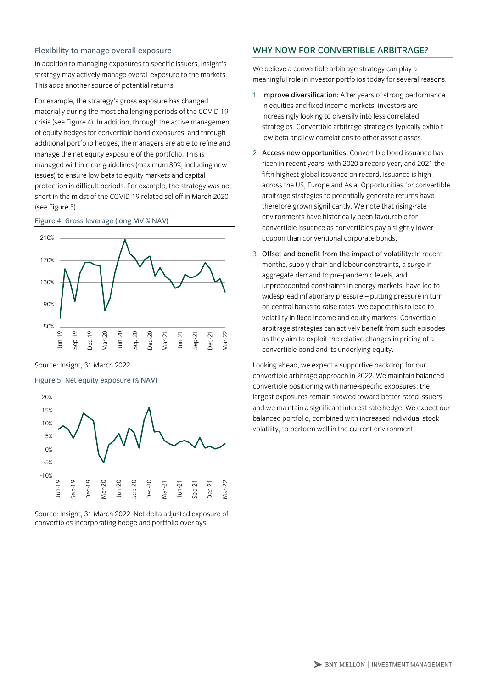### Flexibility to manage overall exposure

In addition to managing exposures to specific issuers, Insight's strategy may actively manage overall exposure to the markets. This adds another source of potential returns.

For example, the strategy's gross exposure has changed materially during the most challenging periods of the COVID-19 crisis (see Figure 4). In addition, through the active management of equity hedges for convertible bond exposures, and through additional portfolio hedges, the managers are able to refine and manage the net equity exposure of the portfolio. This is managed within clear guidelines (maximum 30%, including new issues) to ensure low beta to equity markets and capital protection in difficult periods. For example, the strategy was net short in the midst of the COVID-19 related selloff in March 2020 (see Figure 5).

#### Figure 4: Gross leverage (long MV % NAV)



Source: Insight, 31 March 2022.

Figure 5: Net equity exposure (% NAV)





# WHY NOW FOR CONVERTIBLE ARBITRAGE?

We believe a convertible arbitrage strategy can play a meaningful role in investor portfolios today for several reasons.

- 1. Improve diversification: After years of strong performance in equities and fixed income markets, investors are increasingly looking to diversify into less correlated strategies. Convertible arbitrage strategies typically exhibit low beta and low correlations to other asset classes.
- 2. Access new opportunities: Convertible bond issuance has risen in recent years, with 2020 a record year, and 2021 the fifth-highest global issuance on record. Issuance is high across the US, Europe and Asia. Opportunities for convertible arbitrage strategies to potentially generate returns have therefore grown significantly. We note that rising-rate environments have historically been favourable for convertible issuance as convertibles pay a slightly lower coupon than conventional corporate bonds.
- 3. Offset and benefit from the impact of volatility: In recent months, supply-chain and labour constraints, a surge in aggregate demand to pre-pandemic levels, and unprecedented constraints in energy markets, have led to widespread inflationary pressure – putting pressure in turn on central banks to raise rates. We expect this to lead to volatility in fixed income and equity markets. Convertible arbitrage strategies can actively benefit from such episodes as they aim to exploit the relative changes in pricing of a convertible bond and its underlying equity.

Looking ahead, we expect a supportive backdrop for our convertible arbitrage approach in 2022. We maintain balanced convertible positioning with name-specific exposures; the largest exposures remain skewed toward better-rated issuers and we maintain a significant interest rate hedge. We expect our balanced portfolio, combined with increased individual stock volatility, to perform well in the current environment.

> BNY MELLON | INVESTMENT MANAGEMENT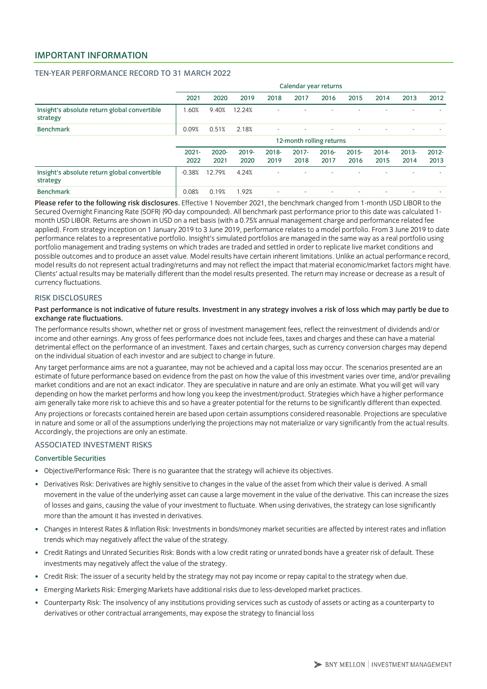# IMPORTANT INFORMATION

### TEN-YEAR PERFORMANCE RECORD TO 31 MARCH 2022

|                                                          | Calendar year returns    |                  |               |                          |                  |                  |                  |                          |                          |                  |  |
|----------------------------------------------------------|--------------------------|------------------|---------------|--------------------------|------------------|------------------|------------------|--------------------------|--------------------------|------------------|--|
|                                                          | 2021                     | 2020             | 2019          | 2018                     | 2017             | 2016             | 2015             | 2014                     | 2013                     | 2012             |  |
| Insight's absolute return global convertible<br>strategy | .60%                     | 9.40%            | 12.24%        |                          |                  |                  |                  |                          |                          |                  |  |
| <b>Benchmark</b>                                         | 0.09%                    | 0.51%            | 2.18%         |                          |                  |                  |                  | $\overline{\phantom{a}}$ | $\sim$                   |                  |  |
|                                                          | 12-month rolling returns |                  |               |                          |                  |                  |                  |                          |                          |                  |  |
|                                                          | $2021 -$<br>2022         | $2020 -$<br>2021 | 2019-<br>2020 | $2018 -$<br>2019         | $2017 -$<br>2018 | $2016 -$<br>2017 | $2015 -$<br>2016 | $2014 -$<br>2015         | $2013 -$<br>2014         | $2012 -$<br>2013 |  |
| Insight's absolute return global convertible<br>strategy | $-0.38%$                 | 12.79%           | 4.24%         | $\overline{\phantom{a}}$ |                  |                  |                  |                          | $\overline{\phantom{a}}$ |                  |  |
| <b>Benchmark</b>                                         | 0.08%                    | 0.19%            | 1.92%         | $\overline{\phantom{a}}$ |                  |                  |                  |                          |                          |                  |  |

Please refer to the following risk disclosures. Effective 1 November 2021, the benchmark changed from 1-month USD LIBOR to the Secured Overnight Financing Rate (SOFR) (90-day compounded). All benchmark past performance prior to this date was calculated 1 month USD LIBOR. Returns are shown in USD on a net basis (with a 0.75% annual management charge and performance related fee applied). From strategy inception on 1 January 2019 to 3 June 2019, performance relates to a model portfolio. From 3 June 2019 to date performance relates to a representative portfolio. Insight's simulated portfolios are managed in the same way as a real portfolio using portfolio management and trading systems on which trades are traded and settled in order to replicate live market conditions and possible outcomes and to produce an asset value. Model results have certain inherent limitations. Unlike an actual performance record, model results do not represent actual trading/returns and may not reflect the impact that material economic/market factors might have. Clients' actual results may be materially different than the model results presented. The return may increase or decrease as a result of currency fluctuations.

#### RISK DISCLOSURES

### Past performance is not indicative of future results. Investment in any strategy involves a risk of loss which may partly be due to exchange rate fluctuations.

The performance results shown, whether net or gross of investment management fees, reflect the reinvestment of dividends and/or income and other earnings. Any gross of fees performance does not include fees, taxes and charges and these can have a material detrimental effect on the performance of an investment. Taxes and certain charges, such as currency conversion charges may depend on the individual situation of each investor and are subject to change in future.

Any target performance aims are not a guarantee, may not be achieved and a capital loss may occur. The scenarios presented are an estimate of future performance based on evidence from the past on how the value of this investment varies over time, and/or prevailing market conditions and are not an exact indicator. They are speculative in nature and are only an estimate. What you will get will vary depending on how the market performs and how long you keep the investment/product. Strategies which have a higher performance aim generally take more risk to achieve this and so have a greater potential for the returns to be significantly different than expected.

Any projections or forecasts contained herein are based upon certain assumptions considered reasonable. Projections are speculative in nature and some or all of the assumptions underlying the projections may not materialize or vary significantly from the actual results. Accordingly, the projections are only an estimate.

## ASSOCIATED INVESTMENT RISKS

## Convertible Securities

- Objective/Performance Risk: There is no guarantee that the strategy will achieve its objectives.
- Derivatives Risk: Derivatives are highly sensitive to changes in the value of the asset from which their value is derived. A small movement in the value of the underlying asset can cause a large movement in the value of the derivative. This can increase the sizes of losses and gains, causing the value of your investment to fluctuate. When using derivatives, the strategy can lose significantly more than the amount it has invested in derivatives.
- Changes in Interest Rates & Inflation Risk: Investments in bonds/money market securities are affected by interest rates and inflation trends which may negatively affect the value of the strategy.
- Credit Ratings and Unrated Securities Risk: Bonds with a low credit rating or unrated bonds have a greater risk of default. These investments may negatively affect the value of the strategy.
- Credit Risk: The issuer of a security held by the strategy may not pay income or repay capital to the strategy when due.
- Emerging Markets Risk: Emerging Markets have additional risks due to less-developed market practices.
- Counterparty Risk: The insolvency of any institutions providing services such as custody of assets or acting as a counterparty to derivatives or other contractual arrangements, may expose the strategy to financial loss